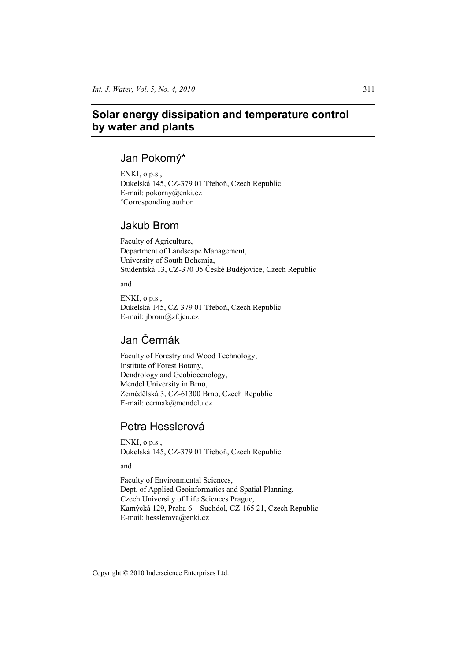# **Solar energy dissipation and temperature control by water and plants**

## Jan Pokorný\*

ENKI, o.p.s., Dukelská 145, CZ-379 01 Třeboň, Czech Republic E-mail: pokorny@enki.cz \*Corresponding author

## Jakub Brom

Faculty of Agriculture, Department of Landscape Management, University of South Bohemia, Studentská 13, CZ-370 05 České Budějovice, Czech Republic

and

ENKI, o.p.s., Dukelská 145, CZ-379 01 Třeboň, Czech Republic E-mail: jbrom@zf.jcu.cz

# Jan ýermák

Faculty of Forestry and Wood Technology, Institute of Forest Botany, Dendrology and Geobiocenology, Mendel University in Brno, Zemědělská 3, CZ-61300 Brno, Czech Republic E-mail: cermak@mendelu.cz

## Petra Hesslerová

ENKI, o.p.s., Dukelská 145, CZ-379 01 Třeboň, Czech Republic

and

Faculty of Environmental Sciences, Dept. of Applied Geoinformatics and Spatial Planning, Czech University of Life Sciences Prague, Kamýcká 129, Praha 6 – Suchdol, CZ-165 21, Czech Republic E-mail: hesslerova@enki.cz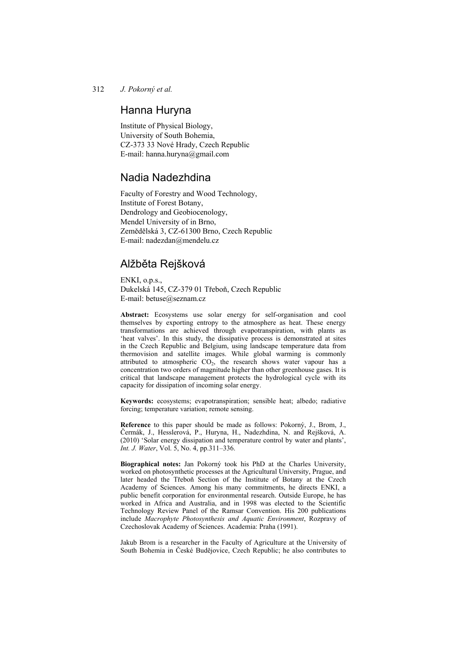## Hanna Huryna

Institute of Physical Biology, University of South Bohemia, CZ-373 33 Nové Hrady, Czech Republic E-mail: hanna.huryna@gmail.com

## Nadia Nadezhdina

Faculty of Forestry and Wood Technology, Institute of Forest Botany, Dendrology and Geobiocenology, Mendel University of in Brno, Zemědělská 3, CZ-61300 Brno, Czech Republic E-mail: nadezdan@mendelu.cz

## Alžběta Rejšková

ENKI, o.p.s., Dukelská 145, CZ-379 01 Třeboň, Czech Republic E-mail: betuse@seznam.cz

**Abstract:** Ecosystems use solar energy for self-organisation and cool themselves by exporting entropy to the atmosphere as heat. These energy transformations are achieved through evapotranspiration, with plants as 'heat valves'. In this study, the dissipative process is demonstrated at sites in the Czech Republic and Belgium, using landscape temperature data from thermovision and satellite images. While global warming is commonly attributed to atmospheric  $CO<sub>2</sub>$ , the research shows water vapour has a concentration two orders of magnitude higher than other greenhouse gases. It is critical that landscape management protects the hydrological cycle with its capacity for dissipation of incoming solar energy.

**Keywords:** ecosystems; evapotranspiration; sensible heat; albedo; radiative forcing; temperature variation; remote sensing.

**Reference** to this paper should be made as follows: Pokorný, J., Brom, J., Čermák, J., Hesslerová, P., Huryna, H., Nadezhdina, N. and Rejšková, A. (2010) 'Solar energy dissipation and temperature control by water and plants', *Int. J. Water*, Vol. 5, No. 4, pp.311–336.

**Biographical notes:** Jan Pokorný took his PhD at the Charles University, worked on photosynthetic processes at the Agricultural University, Prague, and later headed the Třeboň Section of the Institute of Botany at the Czech Academy of Sciences. Among his many commitments, he directs ENKI, a public benefit corporation for environmental research. Outside Europe, he has worked in Africa and Australia, and in 1998 was elected to the Scientific Technology Review Panel of the Ramsar Convention. His 200 publications include *Macrophyte Photosynthesis and Aquatic Environment*, Rozpravy of Czechoslovak Academy of Sciences. Academia: Praha (1991).

Jakub Brom is a researcher in the Faculty of Agriculture at the University of South Bohemia in České Budějovice, Czech Republic; he also contributes to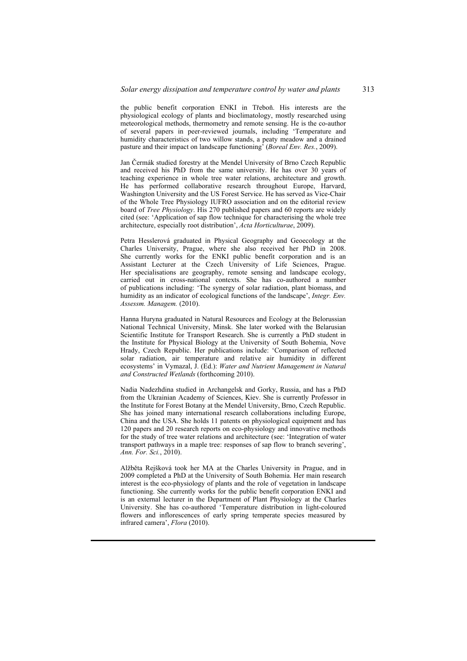the public benefit corporation ENKI in Třeboň. His interests are the physiological ecology of plants and bioclimatology, mostly researched using meteorological methods, thermometry and remote sensing. He is the co-author of several papers in peer-reviewed journals, including 'Temperature and humidity characteristics of two willow stands, a peaty meadow and a drained pasture and their impact on landscape functioning' (*Boreal Env. Res.*, 2009).

Jan Čermák studied forestry at the Mendel University of Brno Czech Republic and received his PhD from the same university. He has over 30 years of teaching experience in whole tree water relations, architecture and growth. He has performed collaborative research throughout Europe, Harvard, Washington University and the US Forest Service. He has served as Vice-Chair of the Whole Tree Physiology IUFRO association and on the editorial review board of *Tree Physiology*. His 270 published papers and 60 reports are widely cited (see: 'Application of sap flow technique for characterising the whole tree architecture, especially root distribution', *Acta Horticulturae*, 2009).

Petra Hesslerová graduated in Physical Geography and Geoecology at the Charles University, Prague, where she also received her PhD in 2008. She currently works for the ENKI public benefit corporation and is an Assistant Lecturer at the Czech University of Life Sciences, Prague. Her specialisations are geography, remote sensing and landscape ecology, carried out in cross-national contexts. She has co-authored a number of publications including: 'The synergy of solar radiation, plant biomass, and humidity as an indicator of ecological functions of the landscape', *Integr. Env. Assessm. Managem.* (2010).

Hanna Huryna graduated in Natural Resources and Ecology at the Belorussian National Technical University, Minsk. She later worked with the Belarusian Scientific Institute for Transport Research. She is currently a PhD student in the Institute for Physical Biology at the University of South Bohemia, Nove Hrady, Czech Republic. Her publications include: 'Comparison of reflected solar radiation, air temperature and relative air humidity in different ecosystems' in Vymazal, J. (Ed.): *Water and Nutrient Management in Natural and Constructed Wetlands* (forthcoming 2010).

Nadia Nadezhdina studied in Archangelsk and Gorky, Russia, and has a PhD from the Ukrainian Academy of Sciences, Kiev. She is currently Professor in the Institute for Forest Botany at the Mendel University, Brno, Czech Republic. She has joined many international research collaborations including Europe, China and the USA. She holds 11 patents on physiological equipment and has 120 papers and 20 research reports on eco-physiology and innovative methods for the study of tree water relations and architecture (see: 'Integration of water transport pathways in a maple tree: responses of sap flow to branch severing', *Ann. For. Sci.*, 2010).

Alžběta Rejšková took her MA at the Charles University in Prague, and in 2009 completed a PhD at the University of South Bohemia. Her main research interest is the eco-physiology of plants and the role of vegetation in landscape functioning. She currently works for the public benefit corporation ENKI and is an external lecturer in the Department of Plant Physiology at the Charles University. She has co-authored 'Temperature distribution in light-coloured flowers and inflorescences of early spring temperate species measured by infrared camera', *Flora* (2010).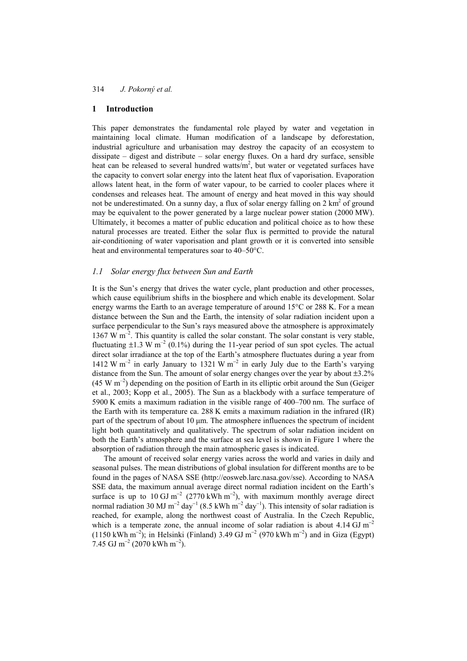#### **1 Introduction**

This paper demonstrates the fundamental role played by water and vegetation in maintaining local climate. Human modification of a landscape by deforestation, industrial agriculture and urbanisation may destroy the capacity of an ecosystem to dissipate – digest and distribute – solar energy fluxes. On a hard dry surface, sensible heat can be released to several hundred watts/ $m<sup>2</sup>$ , but water or vegetated surfaces have the capacity to convert solar energy into the latent heat flux of vaporisation. Evaporation allows latent heat, in the form of water vapour, to be carried to cooler places where it condenses and releases heat. The amount of energy and heat moved in this way should not be underestimated. On a sunny day, a flux of solar energy falling on  $2 \text{ km}^2$  of ground may be equivalent to the power generated by a large nuclear power station (2000 MW). Ultimately, it becomes a matter of public education and political choice as to how these natural processes are treated. Either the solar flux is permitted to provide the natural air-conditioning of water vaporisation and plant growth or it is converted into sensible heat and environmental temperatures soar to 40–50°C.

#### *1.1 Solar energy flux between Sun and Earth*

It is the Sun's energy that drives the water cycle, plant production and other processes, which cause equilibrium shifts in the biosphere and which enable its development. Solar energy warms the Earth to an average temperature of around 15°C or 288 K. For a mean distance between the Sun and the Earth, the intensity of solar radiation incident upon a surface perpendicular to the Sun's rays measured above the atmosphere is approximately  $1367$  W m<sup>-2</sup>. This quantity is called the solar constant. The solar constant is very stable, fluctuating  $\pm 1.3$  W m<sup>-2</sup> (0.1%) during the 11-year period of sun spot cycles. The actual direct solar irradiance at the top of the Earth's atmosphere fluctuates during a year from 1412 W m<sup>-2</sup> in early January to 1321 W m<sup>-2</sup> in early July due to the Earth's varying distance from the Sun. The amount of solar energy changes over the year by about ±3.2%  $(45 \text{ W m}^{-2})$  depending on the position of Earth in its elliptic orbit around the Sun (Geiger) et al., 2003; Kopp et al., 2005). The Sun as a blackbody with a surface temperature of 5900 K emits a maximum radiation in the visible range of 400–700 nm. The surface of the Earth with its temperature ca. 288 K emits a maximum radiation in the infrared (IR) part of the spectrum of about 10 µm. The atmosphere influences the spectrum of incident light both quantitatively and qualitatively. The spectrum of solar radiation incident on both the Earth's atmosphere and the surface at sea level is shown in Figure 1 where the absorption of radiation through the main atmospheric gases is indicated.

The amount of received solar energy varies across the world and varies in daily and seasonal pulses. The mean distributions of global insulation for different months are to be found in the pages of NASA SSE (http://eosweb.larc.nasa.gov/sse). According to NASA SSE data, the maximum annual average direct normal radiation incident on the Earth's surface is up to 10 GJ m<sup>-2</sup> (2770 kWh m<sup>-2</sup>), with maximum monthly average direct normal radiation 30 MJ m<sup>-2</sup> day<sup>-1</sup> (8.5 kWh m<sup>-2</sup> day<sup>-1</sup>). This intensity of solar radiation is reached, for example, along the northwest coast of Australia. In the Czech Republic, which is a temperate zone, the annual income of solar radiation is about  $4.14 \text{ GJ m}^{-2}$ (1150 kWh m<sup>-2</sup>); in Helsinki (Finland) 3.49 GJ m<sup>-2</sup> (970 kWh m<sup>-2</sup>) and in Giza (Egypt) 7.45 GJ m<sup>-2</sup> (2070 kWh m<sup>-2</sup>).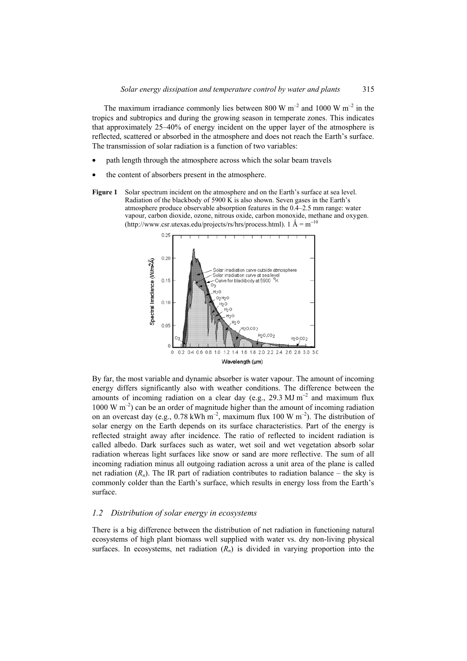The maximum irradiance commonly lies between 800 W  $m^{-2}$  and 1000 W  $m^{-2}$  in the tropics and subtropics and during the growing season in temperate zones. This indicates that approximately 25–40% of energy incident on the upper layer of the atmosphere is reflected, scattered or absorbed in the atmosphere and does not reach the Earth's surface. The transmission of solar radiation is a function of two variables:

- path length through the atmosphere across which the solar beam travels
- the content of absorbers present in the atmosphere.
- **Figure 1** Solar spectrum incident on the atmosphere and on the Earth's surface at sea level. Radiation of the blackbody of 5900 K is also shown. Seven gases in the Earth's atmosphere produce observable absorption features in the 0.4–2.5 mm range: water vapour, carbon dioxide, ozone, nitrous oxide, carbon monoxide, methane and oxygen. (http://www.csr.utexas.edu/projects/rs/hrs/process.html).  $1 \text{ Å} = \text{m}^{-10}$



By far, the most variable and dynamic absorber is water vapour. The amount of incoming energy differs significantly also with weather conditions. The difference between the amounts of incoming radiation on a clear day (e.g., 29.3 MJ m<sup>-2</sup> and maximum flux  $1000 \text{ W m}^{-2}$ ) can be an order of magnitude higher than the amount of incoming radiation on an overcast day (e.g.,  $0.78 \text{ kWh m}^{-2}$ , maximum flux 100 W m<sup>-2</sup>). The distribution of solar energy on the Earth depends on its surface characteristics. Part of the energy is reflected straight away after incidence. The ratio of reflected to incident radiation is called albedo. Dark surfaces such as water, wet soil and wet vegetation absorb solar radiation whereas light surfaces like snow or sand are more reflective. The sum of all incoming radiation minus all outgoing radiation across a unit area of the plane is called net radiation  $(R_n)$ . The IR part of radiation contributes to radiation balance – the sky is commonly colder than the Earth's surface, which results in energy loss from the Earth's surface.

#### *1.2 Distribution of solar energy in ecosystems*

There is a big difference between the distribution of net radiation in functioning natural ecosystems of high plant biomass well supplied with water vs. dry non-living physical surfaces. In ecosystems, net radiation  $(R_n)$  is divided in varying proportion into the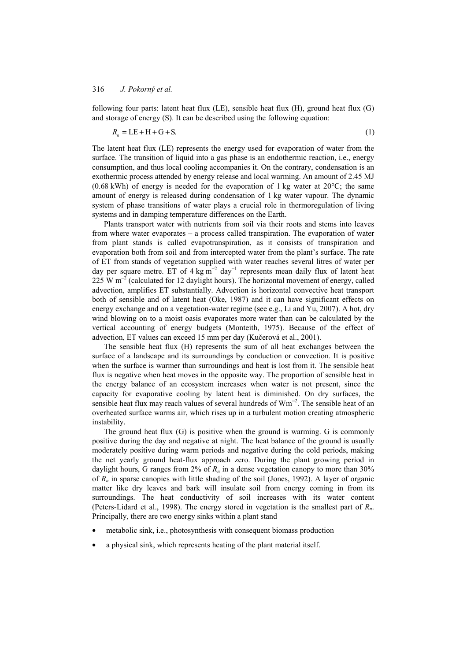following four parts: latent heat flux (LE), sensible heat flux (H), ground heat flux (G) and storage of energy (S). It can be described using the following equation:

$$
R_n = \text{LE} + \text{H} + \text{G} + \text{S}.\tag{1}
$$

The latent heat flux (LE) represents the energy used for evaporation of water from the surface. The transition of liquid into a gas phase is an endothermic reaction, i.e., energy consumption, and thus local cooling accompanies it. On the contrary, condensation is an exothermic process attended by energy release and local warming. An amount of 2.45 MJ (0.68 kWh) of energy is needed for the evaporation of 1 kg water at  $20^{\circ}$ C; the same amount of energy is released during condensation of 1 kg water vapour. The dynamic system of phase transitions of water plays a crucial role in thermoregulation of living systems and in damping temperature differences on the Earth.

Plants transport water with nutrients from soil via their roots and stems into leaves from where water evaporates – a process called transpiration. The evaporation of water from plant stands is called evapotranspiration, as it consists of transpiration and evaporation both from soil and from intercepted water from the plant's surface. The rate of ET from stands of vegetation supplied with water reaches several litres of water per day per square metre. ET of 4 kg m<sup>-2</sup> day<sup>-1</sup> represents mean daily flux of latent heat 225 W  $m^{-2}$  (calculated for 12 daylight hours). The horizontal movement of energy, called advection, amplifies ET substantially. Advection is horizontal convective heat transport both of sensible and of latent heat (Oke, 1987) and it can have significant effects on energy exchange and on a vegetation-water regime (see e.g., Li and Yu, 2007). A hot, dry wind blowing on to a moist oasis evaporates more water than can be calculated by the vertical accounting of energy budgets (Monteith, 1975). Because of the effect of advection, ET values can exceed 15 mm per day (Kučerová et al., 2001).

The sensible heat flux (H) represents the sum of all heat exchanges between the surface of a landscape and its surroundings by conduction or convection. It is positive when the surface is warmer than surroundings and heat is lost from it. The sensible heat flux is negative when heat moves in the opposite way. The proportion of sensible heat in the energy balance of an ecosystem increases when water is not present, since the capacity for evaporative cooling by latent heat is diminished. On dry surfaces, the sensible heat flux may reach values of several hundreds of Wm<sup>-2</sup>. The sensible heat of an overheated surface warms air, which rises up in a turbulent motion creating atmospheric instability.

The ground heat flux (G) is positive when the ground is warming. G is commonly positive during the day and negative at night. The heat balance of the ground is usually moderately positive during warm periods and negative during the cold periods, making the net yearly ground heat-flux approach zero. During the plant growing period in daylight hours, G ranges from  $2\%$  of  $R_n$  in a dense vegetation canopy to more than  $30\%$ of *Rn* in sparse canopies with little shading of the soil (Jones, 1992). A layer of organic matter like dry leaves and bark will insulate soil from energy coming in from its surroundings. The heat conductivity of soil increases with its water content (Peters-Lidard et al., 1998). The energy stored in vegetation is the smallest part of *Rn*. Principally, there are two energy sinks within a plant stand

- metabolic sink, i.e., photosynthesis with consequent biomass production
- a physical sink, which represents heating of the plant material itself.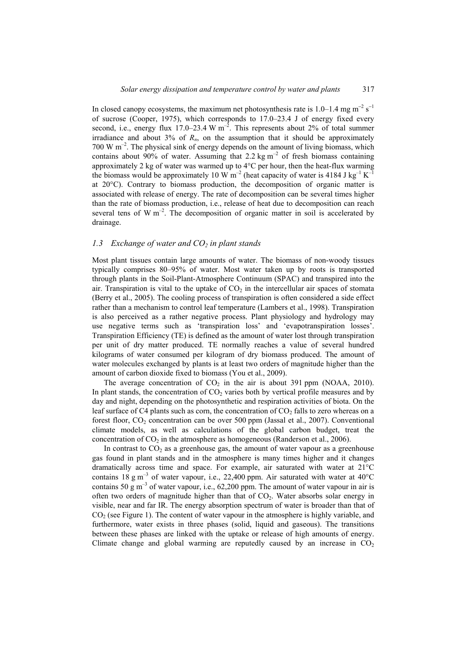In closed canopy ecosystems, the maximum net photosynthesis rate is 1.0–1.4 mg m<sup>-2</sup> s<sup>-1</sup> of sucrose (Cooper, 1975), which corresponds to 17.0–23.4 J of energy fixed every second, i.e., energy flux 17.0–23.4 W m<sup>-2</sup>. This represents about 2% of total summer irradiance and about  $3\%$  of  $R_n$ , on the assumption that it should be approximately  $700 \text{ W m}^{-2}$ . The physical sink of energy depends on the amount of living biomass, which contains about 90% of water. Assuming that 2.2 kg  $m^{-2}$  of fresh biomass containing approximately 2 kg of water was warmed up to 4°C per hour, then the heat-flux warming the biomass would be approximately 10 W  $m^{-2}$  (heat capacity of water is 4184 J kg<sup>-1</sup> K<sup>-1</sup> at 20°C). Contrary to biomass production, the decomposition of organic matter is associated with release of energy. The rate of decomposition can be several times higher than the rate of biomass production, i.e., release of heat due to decomposition can reach several tens of W  $m^{-2}$ . The decomposition of organic matter in soil is accelerated by drainage.

## *1.3 Exchange of water and CO<sub>2</sub> in plant stands*

Most plant tissues contain large amounts of water. The biomass of non-woody tissues typically comprises 80–95% of water. Most water taken up by roots is transported through plants in the Soil-Plant-Atmosphere Continuum (SPAC) and transpired into the air. Transpiration is vital to the uptake of  $CO<sub>2</sub>$  in the intercellular air spaces of stomata (Berry et al., 2005). The cooling process of transpiration is often considered a side effect rather than a mechanism to control leaf temperature (Lambers et al., 1998). Transpiration is also perceived as a rather negative process. Plant physiology and hydrology may use negative terms such as 'transpiration loss' and 'evapotranspiration losses'. Transpiration Efficiency (TE) is defined as the amount of water lost through transpiration per unit of dry matter produced. TE normally reaches a value of several hundred kilograms of water consumed per kilogram of dry biomass produced. The amount of water molecules exchanged by plants is at least two orders of magnitude higher than the amount of carbon dioxide fixed to biomass (You et al., 2009).

The average concentration of  $CO<sub>2</sub>$  in the air is about 391 ppm (NOAA, 2010). In plant stands, the concentration of  $CO<sub>2</sub>$  varies both by vertical profile measures and by day and night, depending on the photosynthetic and respiration activities of biota. On the leaf surface of C4 plants such as corn, the concentration of  $CO<sub>2</sub>$  falls to zero whereas on a forest floor,  $CO<sub>2</sub>$  concentration can be over 500 ppm (Jassal et al., 2007). Conventional climate models, as well as calculations of the global carbon budget, treat the concentration of  $CO<sub>2</sub>$  in the atmosphere as homogeneous (Randerson et al., 2006).

In contrast to  $CO<sub>2</sub>$  as a greenhouse gas, the amount of water vapour as a greenhouse gas found in plant stands and in the atmosphere is many times higher and it changes dramatically across time and space. For example, air saturated with water at 21°C contains  $18 \text{ g m}^{-3}$  of water vapour, i.e., 22,400 ppm. Air saturated with water at  $40^{\circ}$ C contains 50 g m<sup>-3</sup> of water vapour, i.e., 62,200 ppm. The amount of water vapour in air is often two orders of magnitude higher than that of  $CO<sub>2</sub>$ . Water absorbs solar energy in visible, near and far IR. The energy absorption spectrum of water is broader than that of  $CO<sub>2</sub>$  (see Figure 1). The content of water vapour in the atmosphere is highly variable, and furthermore, water exists in three phases (solid, liquid and gaseous). The transitions between these phases are linked with the uptake or release of high amounts of energy. Climate change and global warming are reputedly caused by an increase in  $CO<sub>2</sub>$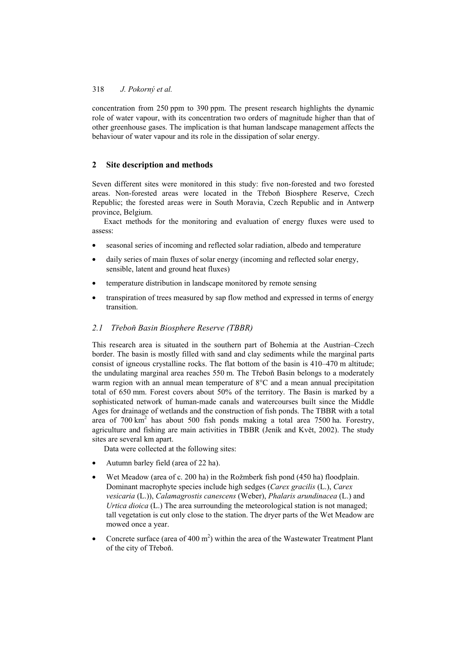concentration from 250 ppm to 390 ppm. The present research highlights the dynamic role of water vapour, with its concentration two orders of magnitude higher than that of other greenhouse gases. The implication is that human landscape management affects the behaviour of water vapour and its role in the dissipation of solar energy.

## **2 Site description and methods**

Seven different sites were monitored in this study: five non-forested and two forested areas. Non-forested areas were located in the Třeboň Biosphere Reserve, Czech Republic; the forested areas were in South Moravia, Czech Republic and in Antwerp province, Belgium.

Exact methods for the monitoring and evaluation of energy fluxes were used to assess:

- seasonal series of incoming and reflected solar radiation, albedo and temperature
- daily series of main fluxes of solar energy (incoming and reflected solar energy, sensible, latent and ground heat fluxes)
- temperature distribution in landscape monitored by remote sensing
- transpiration of trees measured by sap flow method and expressed in terms of energy transition.

## *2.1 TĜeboĖ Basin Biosphere Reserve (TBBR)*

This research area is situated in the southern part of Bohemia at the Austrian–Czech border. The basin is mostly filled with sand and clay sediments while the marginal parts consist of igneous crystalline rocks. The flat bottom of the basin is 410–470 m altitude; the undulating marginal area reaches 550 m. The Třeboň Basin belongs to a moderately warm region with an annual mean temperature of 8°C and a mean annual precipitation total of 650 mm. Forest covers about 50% of the territory. The Basin is marked by a sophisticated network of human-made canals and watercourses built since the Middle Ages for drainage of wetlands and the construction of fish ponds. The TBBR with a total area of  $700 \text{ km}^2$  has about  $500$  fish ponds making a total area  $7500 \text{ ha}$ . Forestry, agriculture and fishing are main activities in TBBR (Jeník and Květ, 2002). The study sites are several km apart.

Data were collected at the following sites:

- Autumn barley field (area of 22 ha).
- Wet Meadow (area of c. 200 ha) in the Rožmberk fish pond (450 ha) floodplain. Dominant macrophyte species include high sedges (*Carex gracilis* (L.), *Carex vesicaria* (L.)), *Calamagrostis canescens* (Weber), *Phalaris arundinacea* (L.) and *Urtica dioica* (L.) The area surrounding the meteorological station is not managed; tall vegetation is cut only close to the station. The dryer parts of the Wet Meadow are mowed once a year.
- Concrete surface (area of 400 m<sup>2</sup>) within the area of the Wastewater Treatment Plant of the city of Třeboň.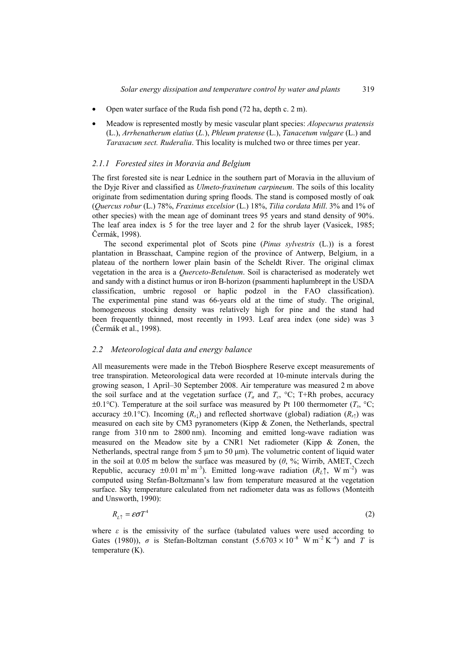- Open water surface of the Ruda fish pond (72 ha, depth c. 2 m).
- Meadow is represented mostly by mesic vascular plant species: *Alopecurus pratensis*  (L.), *Arrhenatherum elatius* (*L.*), *Phleum pratense* (L.), *Tanacetum vulgare* (L.) and *Taraxacum sect. Ruderalia*. This locality is mulched two or three times per year.

#### *2.1.1 Forested sites in Moravia and Belgium*

The first forested site is near Lednice in the southern part of Moravia in the alluvium of the Dyje River and classified as *Ulmeto-fraxinetum carpineum*. The soils of this locality originate from sedimentation during spring floods. The stand is composed mostly of oak (*Quercus robur* (L.) 78%, *Fraxinus excelsior* (L.) 18%, *Tilia cordata Mill*. 3% and 1% of other species) with the mean age of dominant trees 95 years and stand density of 90%. The leaf area index is 5 for the tree layer and 2 for the shrub layer (Vasicek, 1985; Čermák, 1998).

The second experimental plot of Scots pine (*Pinus sylvestris* (L.)) is a forest plantation in Brasschaat, Campine region of the province of Antwerp, Belgium, in a plateau of the northern lower plain basin of the Scheldt River. The original climax vegetation in the area is a *Querceto-Betuletum*. Soil is characterised as moderately wet and sandy with a distinct humus or iron B-horizon (psammenti haplumbrept in the USDA classification, umbric regosol or haplic podzol in the FAO classification). The experimental pine stand was 66-years old at the time of study. The original, homogeneous stocking density was relatively high for pine and the stand had been frequently thinned, most recently in 1993. Leaf area index (one side) was 3 (ýermák et al., 1998).

#### *2.2 Meteorological data and energy balance*

All measurements were made in the Třeboň Biosphere Reserve except measurements of tree transpiration. Meteorological data were recorded at 10-minute intervals during the growing season, 1 April–30 September 2008. Air temperature was measured 2 m above the soil surface and at the vegetation surface  $(T_a$  and  $T_c$ , °C; T+Rh probes, accuracy  $\pm 0.1^{\circ}$ C). Temperature at the soil surface was measured by Pt 100 thermometer ( $T_s$ ,  $\circ$ C; accuracy  $\pm 0.1^{\circ}$ C). Incoming (*R<sub>s1</sub>*) and reflected shortwave (global) radiation (*R<sub>s1</sub>*) was measured on each site by CM3 pyranometers (Kipp & Zonen, the Netherlands, spectral range from 310 nm to 2800 nm). Incoming and emitted long-wave radiation was measured on the Meadow site by a CNR1 Net radiometer (Kipp & Zonen, the Netherlands, spectral range from 5  $\mu$ m to 50  $\mu$ m). The volumetric content of liquid water in the soil at 0.05 m below the surface was measured by  $(\theta, \frac{6}{3})$ ; Wirrib, AMET, Czech Republic, accuracy  $\pm 0.01 \text{ m}^3 \text{ m}^{-3}$ ). Emitted long-wave radiation  $(R_L \uparrow, W \text{ m}^{-2})$  was computed using Stefan-Boltzmann's law from temperature measured at the vegetation surface. Sky temperature calculated from net radiometer data was as follows (Monteith and Unsworth, 1990):

$$
R_{L\uparrow} = \varepsilon \sigma T^4 \tag{2}
$$

where  $\varepsilon$  is the emissivity of the surface (tabulated values were used according to Gates (1980)),  $\sigma$  is Stefan-Boltzman constant (5.6703 × 10<sup>-8</sup> W m<sup>-2</sup> K<sup>-4</sup>) and *T* is temperature (K).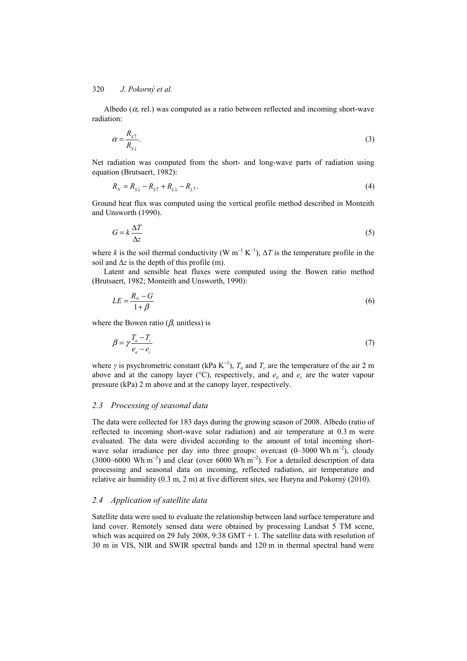Albedo ( $\alpha$ , rel.) was computed as a ratio between reflected and incoming short-wave radiation:

$$
\alpha = \frac{R_{s\uparrow}}{R_{s\downarrow}}.\tag{3}
$$

Net radiation was computed from the short- and long-wave parts of radiation using equation (Brutsaert, 1982):

$$
R_N = R_{S\downarrow} - R_{S\uparrow} + R_{L\downarrow} - R_{L\uparrow}.
$$
\n<sup>(4)</sup>

Ground heat flux was computed using the vertical profile method described in Monteith and Unsworth (1990).

$$
G = k \frac{\Delta T}{\Delta z} \tag{5}
$$

where *k* is the soil thermal conductivity (W  $m^{-1} K^{-1}$ ),  $\Delta T$  is the temperature profile in the soil and  $\Delta z$  is the depth of this profile (m).

Latent and sensible heat fluxes were computed using the Bowen ratio method (Brutsaert, 1982; Monteith and Unsworth, 1990):

$$
LE = \frac{R_N - G}{1 + \beta} \tag{6}
$$

where the Bowen ratio  $(\beta$ , unitless) is

$$
\beta = \gamma \frac{T_a - T_c}{e_a - e_c} \tag{7}
$$

where  $\gamma$  is psychrometric constant (kPa K<sup>-1</sup>),  $T_a$  and  $T_c$  are the temperature of the air 2 m above and at the canopy layer ( $^{\circ}$ C), respectively, and  $e_a$  and  $e_c$  are the water vapour pressure (kPa) 2 m above and at the canopy layer, respectively.

#### *2.3 Processing of seasonal data*

The data were collected for 183 days during the growing season of 2008. Albedo (ratio of reflected to incoming short-wave solar radiation) and air temperature at 0.3 m were evaluated. The data were divided according to the amount of total incoming shortwave solar irradiance per day into three groups: overcast  $(0-3000 \text{ Wh m}^{-2})$ , cloudy (3000–6000 Wh m<sup>-2</sup>) and clear (over 6000 Wh m<sup>-2</sup>). For a detailed description of data processing and seasonal data on incoming, reflected radiation, air temperature and relative air humidity (0.3 m, 2 m) at five different sites, see Huryna and Pokorný (2010).

#### *2.4 Application of satellite data*

Satellite data were used to evaluate the relationship between land surface temperature and land cover. Remotely sensed data were obtained by processing Landsat 5 TM scene, which was acquired on 29 July 2008, 9:38 GMT + 1. The satellite data with resolution of 30 m in VIS, NIR and SWIR spectral bands and 120 m in thermal spectral band were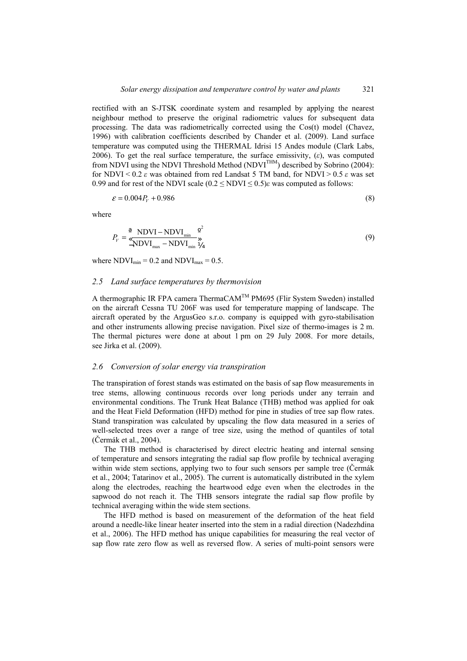rectified with an S-JTSK coordinate system and resampled by applying the nearest neighbour method to preserve the original radiometric values for subsequent data processing. The data was radiometrically corrected using the Cos(t) model (Chavez, 1996) with calibration coefficients described by Chander et al. (2009). Land surface temperature was computed using the THERMAL Idrisi 15 Andes module (Clark Labs, 2006). To get the real surface temperature, the surface emissivity,  $(\varepsilon)$ , was computed from NDVI using the NDVI Threshold Method (NDVI<sup>THM</sup>) described by Sobrino (2004): for NDVI <  $0.2 \varepsilon$  was obtained from red Landsat 5 TM band, for NDVI >  $0.5 \varepsilon$  was set 0.99 and for rest of the NDVI scale  $(0.2 \leq NDVI \leq 0.5)$ *i* was computed as follows:

$$
\varepsilon = 0.004P_{V} + 0.986\tag{8}
$$

where

$$
P_V = \left(\frac{\text{NDVI} - \text{NDVI}_{\text{min}}}{\text{NDVI}_{\text{max}} - \text{NDVI}_{\text{min}}}\right)^2\tag{9}
$$

where  $NDVI_{min} = 0.2$  and  $NDVI_{max} = 0.5$ .

#### *2.5 Land surface temperatures by thermovision*

A thermographic IR FPA camera ThermaCAM<sup>™</sup> PM695 (Flir System Sweden) installed on the aircraft Cessna TU 206F was used for temperature mapping of landscape. The aircraft operated by the ArgusGeo s.r.o. company is equipped with gyro-stabilisation and other instruments allowing precise navigation. Pixel size of thermo-images is 2 m. The thermal pictures were done at about 1 pm on 29 July 2008. For more details, see Jirka et al. (2009).

### *2.6 Conversion of solar energy via transpiration*

The transpiration of forest stands was estimated on the basis of sap flow measurements in tree stems, allowing continuous records over long periods under any terrain and environmental conditions. The Trunk Heat Balance (THB) method was applied for oak and the Heat Field Deformation (HFD) method for pine in studies of tree sap flow rates. Stand transpiration was calculated by upscaling the flow data measured in a series of well-selected trees over a range of tree size, using the method of quantiles of total (Čermák et al., 2004).

The THB method is characterised by direct electric heating and internal sensing of temperature and sensors integrating the radial sap flow profile by technical averaging within wide stem sections, applying two to four such sensors per sample tree (Čermák et al., 2004; Tatarinov et al., 2005). The current is automatically distributed in the xylem along the electrodes, reaching the heartwood edge even when the electrodes in the sapwood do not reach it. The THB sensors integrate the radial sap flow profile by technical averaging within the wide stem sections.

The HFD method is based on measurement of the deformation of the heat field around a needle-like linear heater inserted into the stem in a radial direction (Nadezhdina et al., 2006). The HFD method has unique capabilities for measuring the real vector of sap flow rate zero flow as well as reversed flow. A series of multi-point sensors were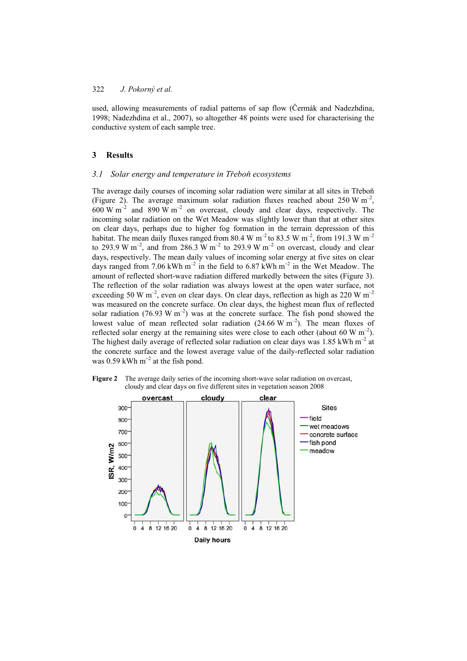used, allowing measurements of radial patterns of sap flow (Čermák and Nadezhdina, 1998; Nadezhdina et al., 2007), so altogether 48 points were used for characterising the conductive system of each sample tree.

#### **3 Results**

#### *3.1 Solar energy and temperature in Třeboň ecosystems*

The average daily courses of incoming solar radiation were similar at all sites in Třeboň (Figure 2). The average maximum solar radiation fluxes reached about 250 W  $m^{-2}$ , 600 W  $\text{m}^{-2}$  and 890 W  $\text{m}^{-2}$  on overcast, cloudy and clear days, respectively. The incoming solar radiation on the Wet Meadow was slightly lower than that at other sites on clear days, perhaps due to higher fog formation in the terrain depression of this habitat. The mean daily fluxes ranged from 80.4 W m<sup>-2</sup> to 83.5 W m<sup>-2</sup>, from 191.3 W m<sup>-2</sup> to 293.9 W m<sup>-2</sup>, and from 286.3 W m<sup>-2</sup> to 293.9 W m<sup>-2</sup> on overcast, cloudy and clear days, respectively. The mean daily values of incoming solar energy at five sites on clear days ranged from 7.06 kWh m<sup>-2</sup> in the field to 6.87 kWh m<sup>-2</sup> in the Wet Meadow. The amount of reflected short-wave radiation differed markedly between the sites (Figure 3). The reflection of the solar radiation was always lowest at the open water surface, not exceeding 50 W m<sup>-2</sup>, even on clear days. On clear days, reflection as high as 220 W m<sup>-2</sup> was measured on the concrete surface. On clear days, the highest mean flux of reflected solar radiation (76.93 W  $m^{-2}$ ) was at the concrete surface. The fish pond showed the lowest value of mean reflected solar radiation  $(24.66 \text{ W m}^{-2})$ . The mean fluxes of reflected solar energy at the remaining sites were close to each other (about 60 W  $\text{m}^{-2}$ ). The highest daily average of reflected solar radiation on clear days was 1.85 kWh  $m<sup>-2</sup>$  at the concrete surface and the lowest average value of the daily-reflected solar radiation was 0.59 kWh  $m^{-2}$  at the fish pond.



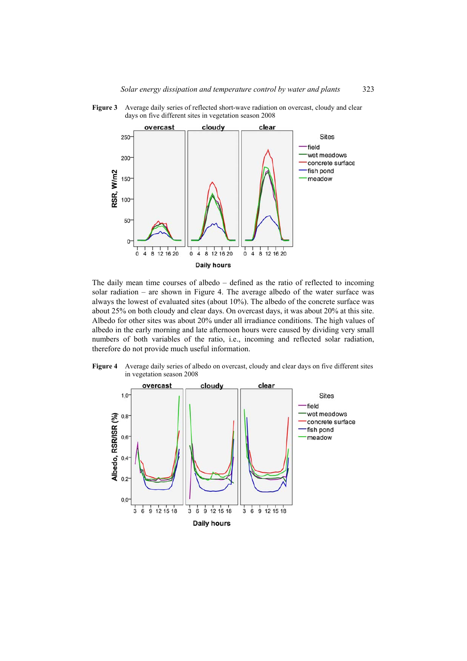

Figure 3 Average daily series of reflected short-wave radiation on overcast, cloudy and clear days on five different sites in vegetation season 2008

The daily mean time courses of albedo – defined as the ratio of reflected to incoming solar radiation – are shown in Figure 4. The average albedo of the water surface was always the lowest of evaluated sites (about 10%). The albedo of the concrete surface was about 25% on both cloudy and clear days. On overcast days, it was about 20% at this site. Albedo for other sites was about 20% under all irradiance conditions. The high values of albedo in the early morning and late afternoon hours were caused by dividing very small numbers of both variables of the ratio, i.e., incoming and reflected solar radiation, therefore do not provide much useful information.

**Figure 4** Average daily series of albedo on overcast, cloudy and clear days on five different sites in vegetation season 2008

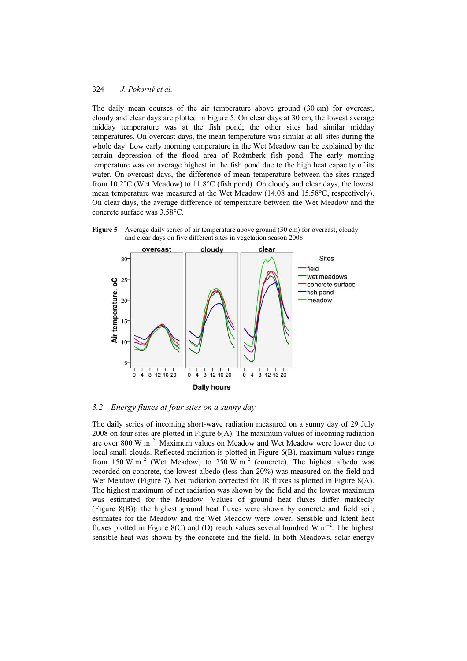The daily mean courses of the air temperature above ground (30 cm) for overcast, cloudy and clear days are plotted in Figure 5. On clear days at 30 cm, the lowest average midday temperature was at the fish pond; the other sites had similar midday temperatures. On overcast days, the mean temperature was similar at all sites during the whole day. Low early morning temperature in the Wet Meadow can be explained by the terrain depression of the flood area of Rožmberk fish pond. The early morning temperature was on average highest in the fish pond due to the high heat capacity of its water. On overcast days, the difference of mean temperature between the sites ranged from 10.2°C (Wet Meadow) to 11.8°C (fish pond). On cloudy and clear days, the lowest mean temperature was measured at the Wet Meadow (14.08 and 15.58°C, respectively). On clear days, the average difference of temperature between the Wet Meadow and the concrete surface was 3.58°C.





## *3.2 Energy fluxes at four sites on a sunny day*

The daily series of incoming short-wave radiation measured on a sunny day of 29 July 2008 on four sites are plotted in Figure 6(A). The maximum values of incoming radiation are over 800 W m–2. Maximum values on Meadow and Wet Meadow were lower due to local small clouds. Reflected radiation is plotted in Figure 6(B), maximum values range from 150 W m<sup>-2</sup> (Wet Meadow) to 250 W m<sup>-2</sup> (concrete). The highest albedo was recorded on concrete, the lowest albedo (less than 20%) was measured on the field and Wet Meadow (Figure 7). Net radiation corrected for IR fluxes is plotted in Figure 8(A). The highest maximum of net radiation was shown by the field and the lowest maximum was estimated for the Meadow. Values of ground heat fluxes differ markedly (Figure 8(B)): the highest ground heat fluxes were shown by concrete and field soil; estimates for the Meadow and the Wet Meadow were lower. Sensible and latent heat fluxes plotted in Figure 8(C) and (D) reach values several hundred W  $m^{-2}$ . The highest sensible heat was shown by the concrete and the field. In both Meadows, solar energy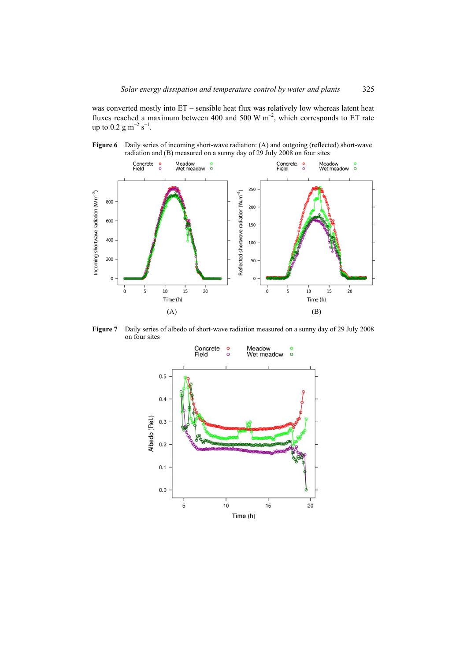was converted mostly into ET – sensible heat flux was relatively low whereas latent heat fluxes reached a maximum between 400 and 500 W  $m^{-2}$ , which corresponds to ET rate up to 0.2 g m<sup>-2</sup> s<sup>-1</sup>.





**Figure 7** Daily series of albedo of short-wave radiation measured on a sunny day of 29 July 2008 on four sites

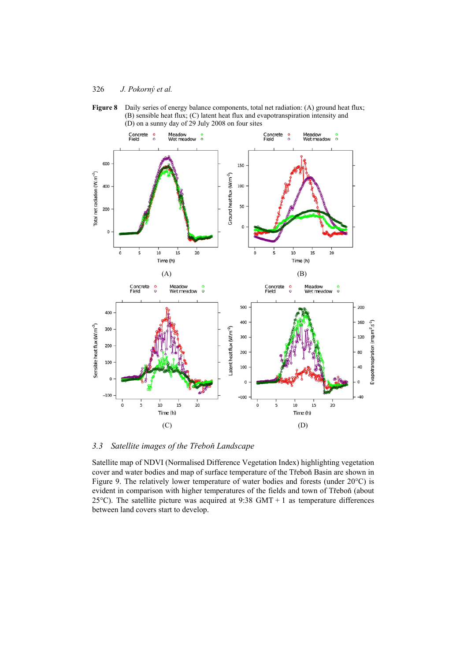



*3.3* Satellite images of the Třeboň Landscape

Satellite map of NDVI (Normalised Difference Vegetation Index) highlighting vegetation cover and water bodies and map of surface temperature of the Třeboň Basin are shown in Figure 9. The relatively lower temperature of water bodies and forests (under 20°C) is evident in comparison with higher temperatures of the fields and town of Třeboň (about 25 $^{\circ}$ C). The satellite picture was acquired at 9:38 GMT + 1 as temperature differences between land covers start to develop.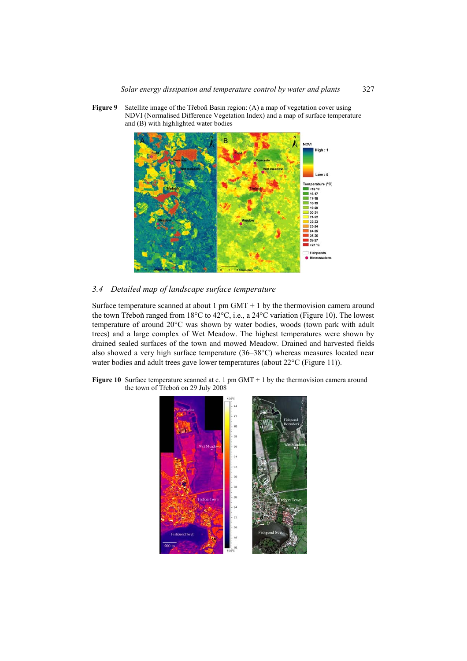- and (B) with highlighted water bodies **NDVI** Temperat 'Cl  $16^{\circ}$  $-16-17$ <br>16-17<br>17-18<br>18-19<br>19-20 20-21 21-22 22-23 23-24  $23-24$ <br>24-25<br>25-26<br>26-27<br>>27 °C Fishpo
- **Figure 9** Satellite image of the Třeboň Basin region: (A) a map of vegetation cover using NDVI (Normalised Difference Vegetation Index) and a map of surface temperature

## *3.4 Detailed map of landscape surface temperature*

Surface temperature scanned at about 1 pm  $GMT + 1$  by the thermovision camera around the town Třeboň ranged from  $18^{\circ}$ C to  $42^{\circ}$ C, i.e., a  $24^{\circ}$ C variation (Figure 10). The lowest temperature of around 20°C was shown by water bodies, woods (town park with adult trees) and a large complex of Wet Meadow. The highest temperatures were shown by drained sealed surfaces of the town and mowed Meadow. Drained and harvested fields also showed a very high surface temperature (36–38°C) whereas measures located near water bodies and adult trees gave lower temperatures (about 22°C (Figure 11)).



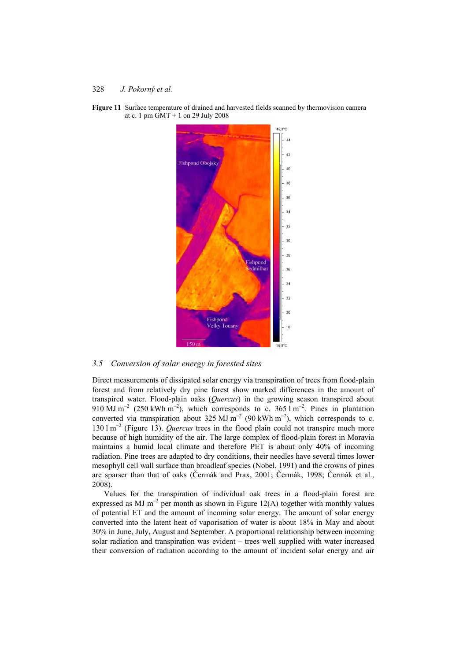

**Figure 11** Surface temperature of drained and harvested fields scanned by thermovision camera at c. 1 pm  $\dot{G}MT + 1$  on 29 July 2008

#### *3.5 Conversion of solar energy in forested sites*

Direct measurements of dissipated solar energy via transpiration of trees from flood-plain forest and from relatively dry pine forest show marked differences in the amount of transpired water. Flood-plain oaks (*Quercus*) in the growing season transpired about 910 MJ m<sup>-2</sup> (250 kWh m<sup>-2</sup>), which corresponds to c. 365 l m<sup>-2</sup>. Pines in plantation converted via transpiration about 325 MJ m<sup>-2</sup> (90 kWh m<sup>-2</sup>), which corresponds to c. 130 l m<sup>−</sup><sup>2</sup> (Figure 13). *Quercus* trees in the flood plain could not transpire much more because of high humidity of the air. The large complex of flood-plain forest in Moravia maintains a humid local climate and therefore PET is about only 40% of incoming radiation. Pine trees are adapted to dry conditions, their needles have several times lower mesophyll cell wall surface than broadleaf species (Nobel, 1991) and the crowns of pines are sparser than that of oaks (Čermák and Prax, 2001; Čermák, 1998; Čermák et al., 2008).

Values for the transpiration of individual oak trees in a flood-plain forest are expressed as MJ m<sup>-2</sup> per month as shown in Figure 12(A) together with monthly values of potential ET and the amount of incoming solar energy. The amount of solar energy converted into the latent heat of vaporisation of water is about 18% in May and about 30% in June, July, August and September. A proportional relationship between incoming solar radiation and transpiration was evident – trees well supplied with water increased their conversion of radiation according to the amount of incident solar energy and air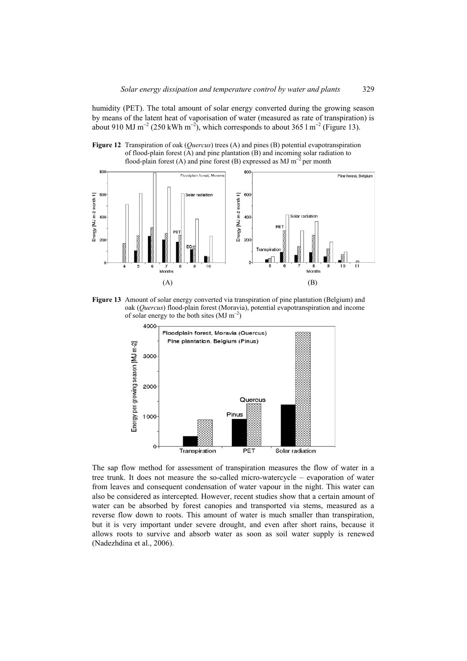humidity (PET). The total amount of solar energy converted during the growing season by means of the latent heat of vaporisation of water (measured as rate of transpiration) is about 910 MJ m<sup>-2</sup> (250 kWh m<sup>-2</sup>), which corresponds to about 365 l m<sup>-2</sup> (Figure 13).





**Figure 13** Amount of solar energy converted via transpiration of pine plantation (Belgium) and oak (*Quercus*) flood-plain forest (Moravia), potential evapotranspiration and income of solar energy to the both sites  $(MJ m^{-2})$ 



The sap flow method for assessment of transpiration measures the flow of water in a tree trunk. It does not measure the so-called micro-watercycle – evaporation of water from leaves and consequent condensation of water vapour in the night. This water can also be considered as intercepted. However, recent studies show that a certain amount of water can be absorbed by forest canopies and transported via stems, measured as a reverse flow down to roots. This amount of water is much smaller than transpiration, but it is very important under severe drought, and even after short rains, because it allows roots to survive and absorb water as soon as soil water supply is renewed (Nadezhdina et al., 2006).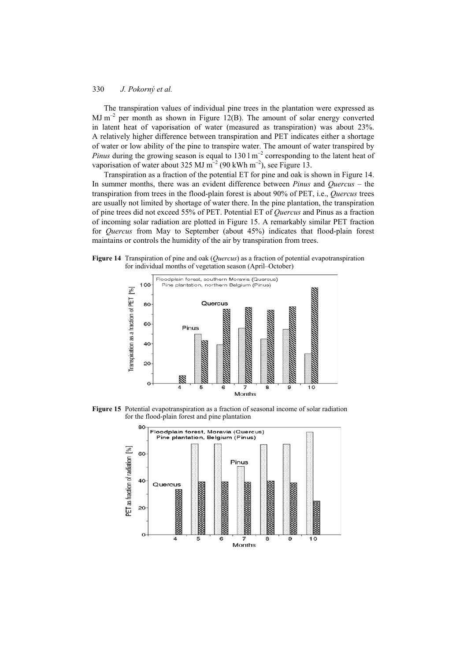The transpiration values of individual pine trees in the plantation were expressed as  $MJ$  m<sup>-2</sup> per month as shown in Figure 12(B). The amount of solar energy converted in latent heat of vaporisation of water (measured as transpiration) was about 23%. A relatively higher difference between transpiration and PET indicates either a shortage of water or low ability of the pine to transpire water. The amount of water transpired by *Pinus* during the growing season is equal to 130 l m<sup>-2</sup> corresponding to the latent heat of vaporisation of water about 325 MJ m<sup>-2</sup> (90 kWh m<sup>-2</sup>), see Figure 13.

Transpiration as a fraction of the potential ET for pine and oak is shown in Figure 14. In summer months, there was an evident difference between *Pinus* and *Quercus* – the transpiration from trees in the flood-plain forest is about 90% of PET, i.e., *Quercus* trees are usually not limited by shortage of water there. In the pine plantation, the transpiration of pine trees did not exceed 55% of PET. Potential ET of *Quercus* and Pinus as a fraction of incoming solar radiation are plotted in Figure 15. A remarkably similar PET fraction for *Quercus* from May to September (about 45%) indicates that flood-plain forest maintains or controls the humidity of the air by transpiration from trees.





**Figure 15** Potential evapotranspiration as a fraction of seasonal income of solar radiation for the flood-plain forest and pine plantation

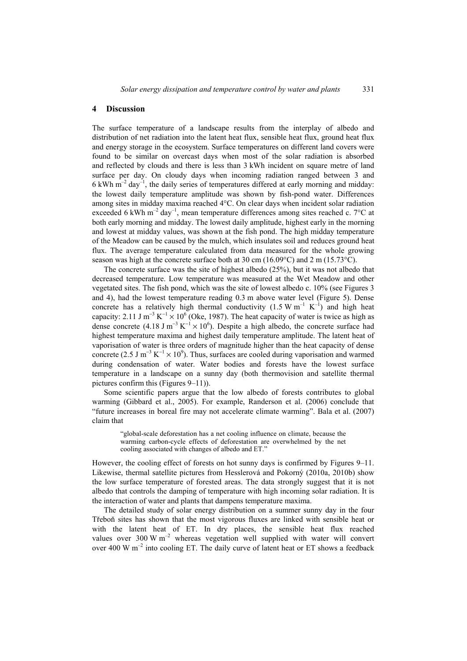#### **4 Discussion**

The surface temperature of a landscape results from the interplay of albedo and distribution of net radiation into the latent heat flux, sensible heat flux, ground heat flux and energy storage in the ecosystem. Surface temperatures on different land covers were found to be similar on overcast days when most of the solar radiation is absorbed and reflected by clouds and there is less than 3 kWh incident on square metre of land surface per day. On cloudy days when incoming radiation ranged between 3 and  $6$  kWh m<sup>-2</sup> day<sup>-1</sup>, the daily series of temperatures differed at early morning and midday: the lowest daily temperature amplitude was shown by fish-pond water. Differences among sites in midday maxima reached 4°C. On clear days when incident solar radiation exceeded 6 kWh  $m^{-2}$  day<sup>-1</sup>, mean temperature differences among sites reached c. 7<sup>o</sup>C at both early morning and midday. The lowest daily amplitude, highest early in the morning and lowest at midday values, was shown at the fish pond. The high midday temperature of the Meadow can be caused by the mulch, which insulates soil and reduces ground heat flux. The average temperature calculated from data measured for the whole growing season was high at the concrete surface both at 30 cm  $(16.09^{\circ}C)$  and 2 m  $(15.73^{\circ}C)$ .

The concrete surface was the site of highest albedo (25%), but it was not albedo that decreased temperature. Low temperature was measured at the Wet Meadow and other vegetated sites. The fish pond, which was the site of lowest albedo c. 10% (see Figures 3 and 4), had the lowest temperature reading 0.3 m above water level (Figure 5). Dense concrete has a relatively high thermal conductivity  $(1.5 \text{ W m}^{-1} \text{ K}^{-1})$  and high heat capacity: 2.11 J m<sup>-3</sup> K<sup>-1</sup> × 10<sup>6</sup> (Oke, 1987). The heat capacity of water is twice as high as dense concrete (4.18 J m<sup>-3</sup> K<sup>-1</sup> × 10<sup>6</sup>). Despite a high albedo, the concrete surface had highest temperature maxima and highest daily temperature amplitude. The latent heat of vaporisation of water is three orders of magnitude higher than the heat capacity of dense concrete (2.5 J m<sup>-3</sup> K<sup>-1</sup> × 10<sup>9</sup>). Thus, surfaces are cooled during vaporisation and warmed during condensation of water. Water bodies and forests have the lowest surface temperature in a landscape on a sunny day (both thermovision and satellite thermal pictures confirm this (Figures 9–11)).

Some scientific papers argue that the low albedo of forests contributes to global warming (Gibbard et al., 2005). For example, Randerson et al. (2006) conclude that "future increases in boreal fire may not accelerate climate warming". Bala et al. (2007) claim that

"global-scale deforestation has a net cooling influence on climate, because the warming carbon-cycle effects of deforestation are overwhelmed by the net cooling associated with changes of albedo and ET."

However, the cooling effect of forests on hot sunny days is confirmed by Figures 9–11. Likewise, thermal satellite pictures from Hesslerová and Pokorný (2010a, 2010b) show the low surface temperature of forested areas. The data strongly suggest that it is not albedo that controls the damping of temperature with high incoming solar radiation. It is the interaction of water and plants that dampens temperature maxima.

The detailed study of solar energy distribution on a summer sunny day in the four Třeboň sites has shown that the most vigorous fluxes are linked with sensible heat or with the latent heat of ET. In dry places, the sensible heat flux reached values over 300 W  $m^{-2}$  whereas vegetation well supplied with water will convert over 400 W  $m^{-2}$  into cooling ET. The daily curve of latent heat or ET shows a feedback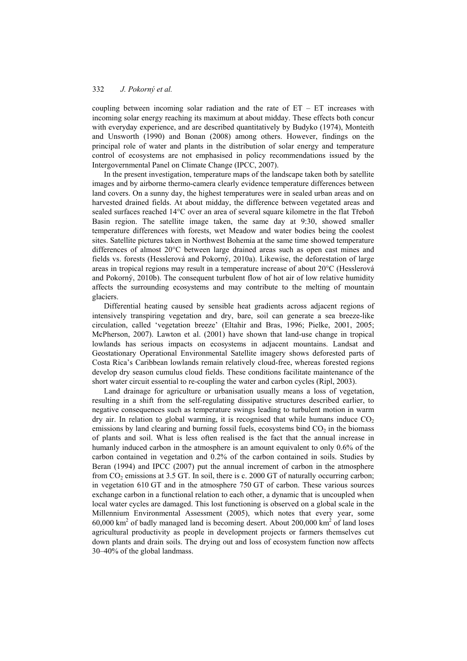coupling between incoming solar radiation and the rate of  $ET - ET$  increases with incoming solar energy reaching its maximum at about midday. These effects both concur with everyday experience, and are described quantitatively by Budyko (1974), Monteith and Unsworth (1990) and Bonan (2008) among others. However, findings on the principal role of water and plants in the distribution of solar energy and temperature control of ecosystems are not emphasised in policy recommendations issued by the Intergovernmental Panel on Climate Change (IPCC, 2007).

In the present investigation, temperature maps of the landscape taken both by satellite images and by airborne thermo-camera clearly evidence temperature differences between land covers. On a sunny day, the highest temperatures were in sealed urban areas and on harvested drained fields. At about midday, the difference between vegetated areas and sealed surfaces reached  $14^{\circ}$ C over an area of several square kilometre in the flat Třeboň Basin region. The satellite image taken, the same day at 9:30, showed smaller temperature differences with forests, wet Meadow and water bodies being the coolest sites. Satellite pictures taken in Northwest Bohemia at the same time showed temperature differences of almost 20°C between large drained areas such as open cast mines and fields vs. forests (Hesslerová and Pokorný, 2010a). Likewise, the deforestation of large areas in tropical regions may result in a temperature increase of about 20°C (Hesslerová and Pokorný, 2010b). The consequent turbulent flow of hot air of low relative humidity affects the surrounding ecosystems and may contribute to the melting of mountain glaciers.

Differential heating caused by sensible heat gradients across adjacent regions of intensively transpiring vegetation and dry, bare, soil can generate a sea breeze-like circulation, called 'vegetation breeze' (Eltahir and Bras, 1996; Pielke, 2001, 2005; McPherson, 2007). Lawton et al. (2001) have shown that land-use change in tropical lowlands has serious impacts on ecosystems in adjacent mountains. Landsat and Geostationary Operational Environmental Satellite imagery shows deforested parts of Costa Rica's Caribbean lowlands remain relatively cloud-free, whereas forested regions develop dry season cumulus cloud fields. These conditions facilitate maintenance of the short water circuit essential to re-coupling the water and carbon cycles (Ripl, 2003).

Land drainage for agriculture or urbanisation usually means a loss of vegetation, resulting in a shift from the self-regulating dissipative structures described earlier, to negative consequences such as temperature swings leading to turbulent motion in warm dry air. In relation to global warming, it is recognised that while humans induce  $CO<sub>2</sub>$ emissions by land clearing and burning fossil fuels, ecosystems bind  $CO<sub>2</sub>$  in the biomass of plants and soil. What is less often realised is the fact that the annual increase in humanly induced carbon in the atmosphere is an amount equivalent to only 0.6% of the carbon contained in vegetation and 0.2% of the carbon contained in soils. Studies by Beran (1994) and IPCC (2007) put the annual increment of carbon in the atmosphere from  $CO<sub>2</sub>$  emissions at 3.5 GT. In soil, there is c. 2000 GT of naturally occurring carbon; in vegetation 610 GT and in the atmosphere 750 GT of carbon. These various sources exchange carbon in a functional relation to each other, a dynamic that is uncoupled when local water cycles are damaged. This lost functioning is observed on a global scale in the Millennium Environmental Assessment (2005), which notes that every year, some  $60,000$  km<sup>2</sup> of badly managed land is becoming desert. About 200,000 km<sup>2</sup> of land loses agricultural productivity as people in development projects or farmers themselves cut down plants and drain soils. The drying out and loss of ecosystem function now affects 30–40% of the global landmass.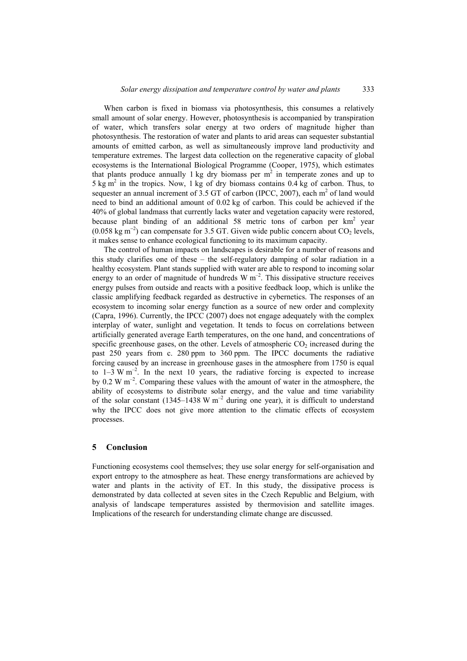When carbon is fixed in biomass via photosynthesis, this consumes a relatively small amount of solar energy. However, photosynthesis is accompanied by transpiration of water, which transfers solar energy at two orders of magnitude higher than photosynthesis. The restoration of water and plants to arid areas can sequester substantial amounts of emitted carbon, as well as simultaneously improve land productivity and temperature extremes. The largest data collection on the regenerative capacity of global ecosystems is the International Biological Programme (Cooper, 1975), which estimates that plants produce annually 1 kg dry biomass per  $m<sup>2</sup>$  in temperate zones and up to  $5 \text{ kg m}^2$  in the tropics. Now, 1 kg of dry biomass contains 0.4 kg of carbon. Thus, to sequester an annual increment of 3.5 GT of carbon (IPCC, 2007), each  $m<sup>2</sup>$  of land would need to bind an additional amount of 0.02 kg of carbon. This could be achieved if the 40% of global landmass that currently lacks water and vegetation capacity were restored, because plant binding of an additional 58 metric tons of carbon per km<sup>2</sup> year  $(0.058 \text{ kg m}^{-2})$  can compensate for 3.5 GT. Given wide public concern about CO<sub>2</sub> levels, it makes sense to enhance ecological functioning to its maximum capacity.

The control of human impacts on landscapes is desirable for a number of reasons and this study clarifies one of these – the self-regulatory damping of solar radiation in a healthy ecosystem. Plant stands supplied with water are able to respond to incoming solar energy to an order of magnitude of hundreds  $W m<sup>-2</sup>$ . This dissipative structure receives energy pulses from outside and reacts with a positive feedback loop, which is unlike the classic amplifying feedback regarded as destructive in cybernetics. The responses of an ecosystem to incoming solar energy function as a source of new order and complexity (Capra, 1996). Currently, the IPCC (2007) does not engage adequately with the complex interplay of water, sunlight and vegetation. It tends to focus on correlations between artificially generated average Earth temperatures, on the one hand, and concentrations of specific greenhouse gases, on the other. Levels of atmospheric  $CO<sub>2</sub>$  increased during the past 250 years from c. 280 ppm to 360 ppm. The IPCC documents the radiative forcing caused by an increase in greenhouse gases in the atmosphere from 1750 is equal to  $1-3$  W m<sup>-2</sup>. In the next 10 years, the radiative forcing is expected to increase by 0.2 W  $\mathrm{m}^{-2}$ . Comparing these values with the amount of water in the atmosphere, the ability of ecosystems to distribute solar energy, and the value and time variability of the solar constant (1345–1438 W  $m^{-2}$  during one year), it is difficult to understand why the IPCC does not give more attention to the climatic effects of ecosystem processes.

#### **5 Conclusion**

Functioning ecosystems cool themselves; they use solar energy for self-organisation and export entropy to the atmosphere as heat. These energy transformations are achieved by water and plants in the activity of ET. In this study, the dissipative process is demonstrated by data collected at seven sites in the Czech Republic and Belgium, with analysis of landscape temperatures assisted by thermovision and satellite images. Implications of the research for understanding climate change are discussed.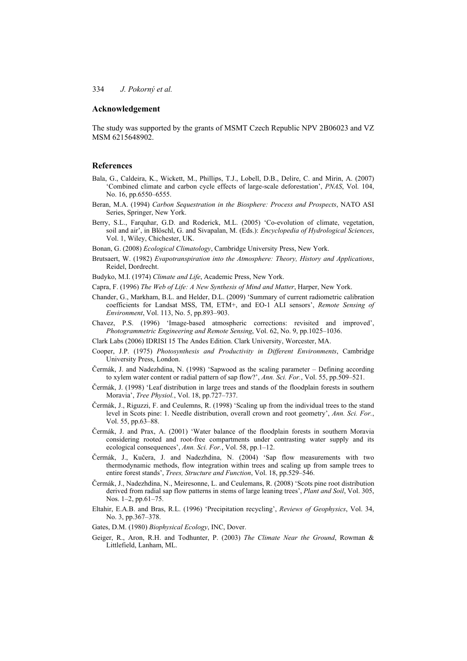#### **Acknowledgement**

The study was supported by the grants of MSMT Czech Republic NPV 2B06023 and VZ MSM 6215648902.

#### **References**

- Bala, G., Caldeira, K., Wickett, M., Phillips, T.J., Lobell, D.B., Delire, C. and Mirin, A. (2007) 'Combined climate and carbon cycle effects of large-scale deforestation', *PNAS*, Vol. 104, No. 16, pp.6550–6555.
- Beran, M.A. (1994) *Carbon Sequestration in the Biosphere: Process and Prospects*, NATO ASI Series, Springer, New York.
- Berry, S.L., Farquhar, G.D. and Roderick, M.L. (2005) 'Co-evolution of climate, vegetation, soil and air', in Blöschl, G. and Sivapalan, M. (Eds.): *Encyclopedia of Hydrological Sciences*, Vol. 1, Wiley, Chichester, UK.
- Bonan, G. (2008) *Ecological Climatology*, Cambridge University Press, New York.
- Brutsaert, W. (1982) *Evapotranspiration into the Atmosphere: Theory, History and Applications*, Reidel, Dordrecht.
- Budyko, M.I. (1974) *Climate and Life*, Academic Press, New York.
- Capra, F. (1996) *The Web of Life: A New Synthesis of Mind and Matter*, Harper, New York.
- Chander, G., Markham, B.L. and Helder, D.L. (2009) 'Summary of current radiometric calibration coefficients for Landsat MSS, TM, ETM+, and EO-1 ALI sensors', *Remote Sensing of Environment*, Vol. 113, No. 5, pp.893–903.
- Chavez, P.S. (1996) 'Image-based atmospheric corrections: revisited and improved', *Photogrammetric Engineering and Remote Sensing*, Vol. 62, No. 9, pp.1025–1036.
- Clark Labs (2006) IDRISI 15 The Andes Edition. Clark University, Worcester, MA.
- Cooper, J.P. (1975) *Photosynthesis and Productivity in Different Environments*, Cambridge University Press, London.
- Čermák, J. and Nadezhdina, N. (1998) 'Sapwood as the scaling parameter Defining according to xylem water content or radial pattern of sap flow?', *Ann. Sci. For.*, Vol. 55, pp.509–521.
- ýermák, J. (1998) 'Leaf distribution in large trees and stands of the floodplain forests in southern Moravia', *Tree Physiol.*, Vol. 18, pp.727–737.
- ýermák, J., Riguzzi, F. and Ceulemns, R. (1998) 'Scaling up from the individual trees to the stand level in Scots pine: 1. Needle distribution, overall crown and root geometry', *Ann. Sci. For.*, Vol. 55, pp.63–88.
- ýermák, J. and Prax, A. (2001) 'Water balance of the floodplain forests in southern Moravia considering rooted and root-free compartments under contrasting water supply and its ecological consequences', *Ann. Sci. For.*, Vol. 58, pp.1–12.
- Čermák, J., Kučera, J. and Nadezhdina, N. (2004) 'Sap flow measurements with two thermodynamic methods, flow integration within trees and scaling up from sample trees to entire forest stands', *Trees, Structure and Function*, Vol. 18, pp.529–546.
- ýermák, J., Nadezhdina, N., Meiresonne, L. and Ceulemans, R. (2008) 'Scots pine root distribution derived from radial sap flow patterns in stems of large leaning trees', *Plant and Soil*, Vol. 305, Nos. 1–2, pp.61–75.
- Eltahir, E.A.B. and Bras, R.L. (1996) 'Precipitation recycling', *Reviews of Geophysics*, Vol. 34, No. 3, pp.367–378.
- Gates, D.M. (1980) *Biophysical Ecology*, INC, Dover.
- Geiger, R., Aron, R.H. and Todhunter, P. (2003) *The Climate Near the Ground*, Rowman & Littlefield, Lanham, ML.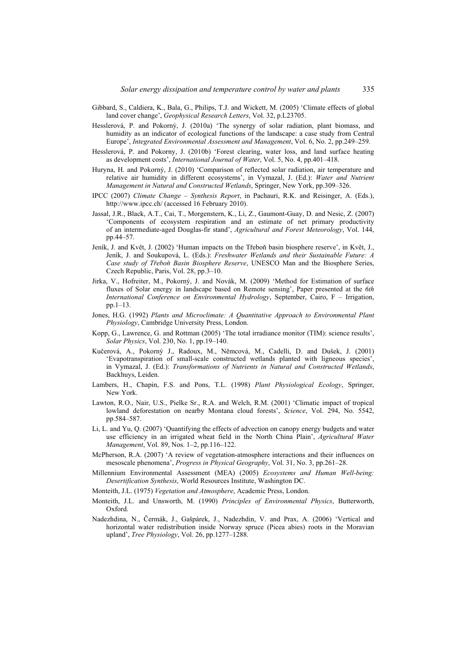- Gibbard, S., Caldiera, K., Bala, G., Philips, T.J. and Wickett, M. (2005) 'Climate effects of global land cover change', *Geophysical Research Letters*, Vol. 32, p.L23705.
- Hesslerová, P. and Pokorný, J. (2010a) 'The synergy of solar radiation, plant biomass, and humidity as an indicator of ecological functions of the landscape: a case study from Central Europe', *Integrated Environmental Assessment and Management*, Vol. 6, No. 2, pp.249–259.
- Hesslerová, P. and Pokorny, J. (2010b) 'Forest clearing, water loss, and land surface heating as development costs', *International Journal of Water*, Vol. 5, No. 4, pp.401–418.
- Huryna, H. and Pokorný, J. (2010) 'Comparison of reflected solar radiation, air temperature and relative air humidity in different ecosystems', in Vymazal, J. (Ed.): *Water and Nutrient Management in Natural and Constructed Wetlands*, Springer, New York, pp.309–326.
- IPCC (2007) *Climate Change Synthesis Report*, in Pachauri, R.K. and Reisinger, A. (Eds.), http://www.ipcc.ch/ (accessed 16 February 2010).
- Jassal, J.R., Black, A.T., Cai, T., Morgenstern, K., Li, Z., Gaumont-Guay, D. and Nesic, Z. (2007) 'Components of ecosystem respiration and an estimate of net primary productivity of an intermediate-aged Douglas-fir stand', *Agricultural and Forest Meteorology*, Vol. 144, pp.44–57.
- Jeník, J. and Květ, J. (2002) 'Human impacts on the Třeboň basin biosphere reserve', in Květ, J., Jeník, J. and Soukupová, L. (Eds.): *Freshwater Wetlands and their Sustainable Future: A Case study of TĜeboĖ Basin Biosphere Reserve*, UNESCO Man and the Biosphere Series, Czech Republic, Paris, Vol. 28, pp.3–10.
- Jirka, V., Hofreiter, M., Pokorný, J. and Novák, M. (2009) 'Method for Estimation of surface fluxes of Solar energy in landscape based on Remote sensing', Paper presented at the *6th International Conference on Environmental Hydrology*, September, Cairo, F – Irrigation, pp.1–13.
- Jones, H.G. (1992) *Plants and Microclimate: A Quantitative Approach to Environmental Plant Physiology*, Cambridge University Press, London.
- Kopp, G., Lawrence, G. and Rottman (2005) 'The total irradiance monitor (TIM): science results', *Solar Physics*, Vol. 230, No. 1, pp.19–140.
- Kučerová, A., Pokorný J., Radoux, M., Němcová, M., Cadelli, D. and Dušek, J. (2001) 'Evapotranspiration of small-scale constructed wetlands planted with ligneous species', in Vymazal, J. (Ed.): *Transformations of Nutrients in Natural and Constructed Wetlands*, Backhuys, Leiden.
- Lambers, H., Chapin, F.S. and Pons, T.L. (1998) *Plant Physiological Ecology*, Springer, New York.
- Lawton, R.O., Nair, U.S., Pielke Sr., R.A. and Welch, R.M. (2001) 'Climatic impact of tropical lowland deforestation on nearby Montana cloud forests', *Science*, Vol. 294, No. 5542, pp.584–587.
- Li, L. and Yu, Q. (2007) 'Quantifying the effects of advection on canopy energy budgets and water use efficiency in an irrigated wheat field in the North China Plain', *Agricultural Water Management*, Vol. 89, Nos. 1–2, pp.116–122.
- McPherson, R.A. (2007) 'A review of vegetation-atmosphere interactions and their influences on mesoscale phenomena', *Progress in Physical Geography*, Vol. 31, No. 3, pp.261–28.
- Millennium Environmental Assessment (MEA) (2005) *Ecosystems and Human Well-being: Desertification Synthesis*, World Resources Institute, Washington DC.
- Monteith, J.L. (1975) *Vegetation and Atmosphere*, Academic Press, London.
- Monteith, J.L. and Unsworth, M. (1990) *Principles of Environmental Physics*, Butterworth, Oxford.
- Nadezhdina, N., ýermák, J., Gašpárek, J., Nadezhdin, V. and Prax, A. (2006) 'Vertical and horizontal water redistribution inside Norway spruce (Picea abies) roots in the Moravian upland', *Tree Physiology*, Vol. 26, pp.1277–1288.